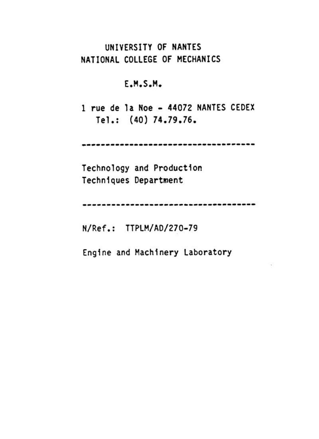# UNIVERSITY OF NANTES NATIONAL COLLEGE OF MECHANICS

**E.M.S.M.** 

1 rue de la Noe - 44072 NANTES CEDEX Tel.: (40) 74.79.76.

**------------------------------------**

**Technology and Production**  Techniques Department

**------------------------------------**

 $\sim$ 

N/Ref.: TTPLM/AD/270-79

**Engine and Machinery Laboratory**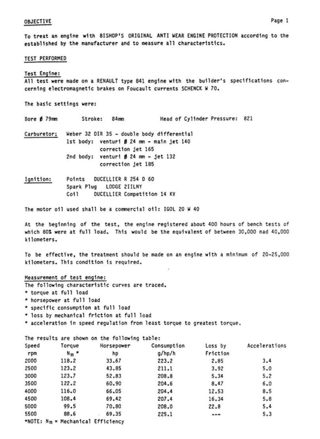## **OBJECTIVE**

To treat an engine with BISHOP'S ORIGINAL ANTI WEAR ENGINE PROTECTION according to the established by the manufacturer and to measure all characteristics.

## **TEST PERFORMED**

## Test Engine:

All test were made on a RENAULT type 841 engine with the builder's specifications concerning electromagnetic brakes on Foucault currents SCHENCK W 70.

The basic settings were:

Bore Ø 79mm Stroke: 84mm Head of Cylinder Pressure: 821

Carburetor; Weber 32 DIR 35 - double body differential 1st body: venturi Ø 24 mm - main jet 140 correction jet 165 2nd body: venturi  $\beta$  24 mm - jet 132 correction jet 185

Ignition: Points DUCELLIER R 254 D 60 Spark Plug LODGE 2IILNY DUCELLIER Competition 14 KV Coil

The motor oil used shall be a commercial oil: IGOL 20 W 40

At the beginning of the test, the engine registered about 400 hours of bench tests of which 80% were at full load. This would be the equivalent of between 30,000 nad 40,000 kilometers.

To be effective, the treatment should be made on an engine with a minimum of 20-25,000 kilometers. This condition is required.

#### Measurement of test engine:

The following characteristic curves are traced.

- \* torque at full load
- \* horsepower at full load
- \* specific consumption at full load
- \* loss by mechanical friction at full load
- \* acceleration in speed requlation from least torque to greatest torque.

The results are shown on the following table:

| Speed | Torque                              | Horsepower | Consumption | Loss by  | Accelerations |
|-------|-------------------------------------|------------|-------------|----------|---------------|
| rpm   | $N_m$ $*$                           | hp         | g/hp/h      | Friction |               |
| 2000  | 118.2                               | 33.67      | 223.2       | 2.85     | 3.4           |
| 2500  | 123.2                               | 43.85      | 211.1       | 3.92     | 5.0           |
| 3000  | 123.7                               | 52.83      | 208.8       | 5.34     | 5.2           |
| 3500  | 122.2                               | 60.90      | 204.6       | 8.47     | 6.0           |
| 4000  | 116.0                               | 66.05      | 204.4       | 12.53    | 8.5           |
| 4500  | 108.4                               | 69.42      | 207.4       | 16.34    | 5.8           |
| 5000  | 99.5                                | 70.80      | 208.0       | 22.8     | 5.4           |
| 5500  | 88.6                                | 69.35      | 225.1       | ---      | 5.3           |
|       | *NOTE: $Nm = Mechanical Effective1$ |            |             |          |               |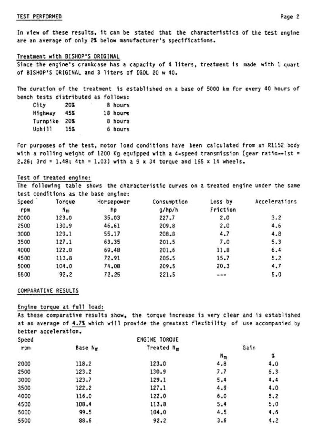## TEST PERFORMED

In view of these results, it can be stated that the characteristics of the test engine are an average of only 2% below manufacturer's specifications.

## Treatment with BISHOP'S ORIGINAL

Since the engine's crankcase has a capacity of 4 liters, treatment is made with 1 quart of BISHOP'S ORIGINAL and 3 liters of IGOL 20 w 40.

The duration of the treatment is established on a base of 5000 km for every 40 hours of bench tests distributed as follows:

| City           | 20% | 8 hours  |
|----------------|-----|----------|
| <b>Highway</b> | 45% | 18 hours |
| Turnpike       | 20% | 8 hours  |
| Uphill         | 15% | 6 hours  |

For purposes of the test, motor load conditions have been calculated from an R1152 body with a rolling weight of 1200 Kg equipped with a 4-speed transmission (gear ratio--1st = 2.26;  $3rd = 1.48$ ;  $4th = 1.03$ ) with a 9 x 34 torque and 165 x 14 wheels.

# Test of treated engine:

The following table shows the characteristic curves on a treated engine under the same test conditions as the base engine:

| Speed | Torque  | Horsepower | Consumption | Loss by  | Accelerations |
|-------|---------|------------|-------------|----------|---------------|
| rpm   | $N_{m}$ | hp         | g/hp/h      | Friction |               |
| 2000  | 123.0   | 35.03      | 227.7       | 2.0      | 3.2           |
| 2500  | 130.9   | 46.61      | 209.8       | 2.0      | 4.6           |
| 3000  | 129.1   | 55.17      | 208.8       | 4.7      | 4.8           |
| 3500  | 127.1   | 63.35      | 201.5       | 7.0      | 5.3           |
| 4000  | 122.0   | 69.48      | 201.6       | 11.8     | 6.4           |
| 4500  | 113.8   | 72.91      | 205.5       | 15.7     | 5.2           |
| 5000  | 104.0   | 74.08      | 209.5       | 20.3     | 4.7           |
| 5500  | 92.2    | 72.25      | 221.5       | ---      | 5.0           |

# COMPARATIVE RESULTS

# Engine torque at full load:

As these comparative results show, the torque increase is very clear and is established at an average of 4.7% which will provide the greatest flexibility of use accompanied by better acceleration.

|                     | ENGINE TORQUE |         |     |
|---------------------|---------------|---------|-----|
| Base N <sub>m</sub> | Treated $N_m$ | Gain    |     |
|                     |               | $N_{m}$ | z   |
| 118.2               | 123.0         | 4.8     | 4.0 |
| 123.2               | 130.9         | 7.7     | 6.3 |
| 123.7               | 129.1         | 5.4     | 4.4 |
| 122.2               | 127.1         | 4.9     | 4.0 |
| 116.0               | 122.0         | 6.0     | 5.2 |
| 108.4               | 113.8         | 5.4     | 5.0 |
| 99.5                | 104.0         | 4.5     | 4.6 |
| 88.6                | 92.2          | 3.6     | 4.2 |
|                     |               |         |     |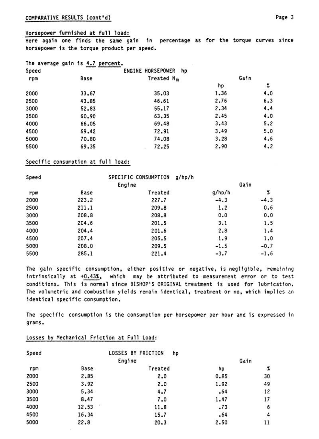## Horsepower furnished at full load:

Here again one finds the same gain in percentage as for the torque curves since horsepower is the torque product per speed.

|  |  | The average gain is 4.7 percent. |
|--|--|----------------------------------|
|  |  |                                  |

| Speed |       | ENGINE HORSEPOWER hp   |      |      |
|-------|-------|------------------------|------|------|
| rpm   | Base  | Treated N <sub>m</sub> |      | Gain |
|       |       |                        | hp   | z    |
| 2000  | 33.67 | 35.03                  | 1.36 | 4.0  |
| 2500  | 43.85 | 46.61                  | 2.76 | 6.3  |
| 3000  | 52.83 | 55.17                  | 2.34 | 4.4  |
| 3500  | 60.90 | 63.35                  | 2.45 | 4.0  |
| 4000  | 66.05 | 69.48                  | 3.43 | 5.2  |
| 4500  | 69.42 | 72.91                  | 3.49 | 5.0  |
| 5000  | 70.80 | 74.08                  | 3.28 | 4.6  |
| 5500  | 69.35 | 72.25                  | 2.90 | 4.2  |

# Specific consumption at full load:

| Speed |       | SPECIFIC CONSUMPTION<br>g/hp/h |        |        |
|-------|-------|--------------------------------|--------|--------|
|       |       | Engine                         |        | Gain   |
| rpm   | Base  | Treated                        | g/hp/h | 2      |
| 2000  | 223.2 | 227.7                          | $-4.3$ | $-4.3$ |
| 2500  | 211.1 | 209.8                          | 1.2    | 0.6    |
| 3000  | 208.8 | 208.8                          | 0.0    | 0.0    |
| 3500  | 204.6 | 201.5                          | 3.1    | 1.5    |
| 4000  | 204.4 | 201.6                          | 2.8    | 1.4    |
| 4500  | 207.4 | 205.5                          | 1.9    | 1.0    |
| 5000  | 208.0 | 209.5                          | $-1.5$ | $-0.7$ |
| 5500  | 285.1 | 221.4                          | $-3.7$ | $-1.6$ |

The gain specific consumption, either positive or negative, is negligible, remaining intrinsically at +0.43%, which may be attributed to measurement error or to test conditions. This is normal since BISHOP'S ORIGINAL treatment is used for lubrication. The volumetric and combustion yields remain identical, treatment or no, which implies an identical specific consumption.

The specific consumption is the consumption per horsepower per hour and is expressed in grams.

| Speed |       | LOSSES BY FRICTION<br>hp |      |      |  |
|-------|-------|--------------------------|------|------|--|
|       |       | Engine                   |      | Gain |  |
| rpm   | Base  | Treated                  | hp   | Z    |  |
| 2000  | 2.85  | 2.0                      | 0.85 | 30   |  |
| 2500  | 3.92  | 2.0                      | 1.92 | 49   |  |
| 3000  | 5.34  | 4.7                      | .64  | 12   |  |
| 3500  | 8.47  | 7.0                      | 1.47 | 17   |  |
| 4000  | 12.53 | 11.8                     | .73  | 6    |  |
| 4500  | 16.34 | 15.7                     | .64  | 4    |  |
| 5000  | 22.8  | 20.3                     | 2.50 | 11   |  |

# Losses by Mechanical Friction at Full Load:

**All 1999**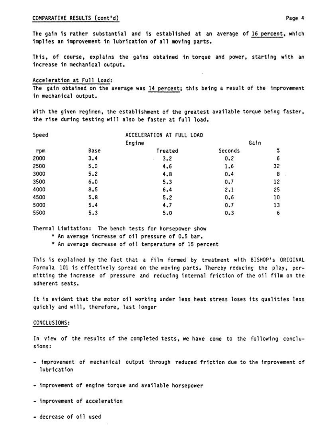## COMPARATIVE RESULTS (cont'd)

The gain is rather substantial and is established at an average of 16 percent, which implies an improvement in lubrication of all moving parts.

This, of course, explains the gains obtained in torque and power, starting with an increase in mechanical output.

## Acceleration at Full Load:

The gain obtained on the average was 14 percent; this being a result of the improvement in mechanical output.

With the given regimen, the establishment of the greatest available torque being faster, the rise during testing will also be faster at full load.

| Speed |      | ACCELERATION AT FULL LOAD |         |      |  |
|-------|------|---------------------------|---------|------|--|
|       |      | Engine                    |         | Gain |  |
| rpm   | Base | Treated                   | Seconds | z    |  |
| 2000  | 3.4  | 3.2                       | 0.2     | 6    |  |
| 2500  | 5.0  | 4.6                       | 1.6     | 32   |  |
| 3000  | 5.2  | 4.8                       | 0.4     | 8    |  |
| 3500  | 6.0  | 5.3                       | 0.7     | 12   |  |
| 4000  | 8.5  | 6.4                       | 2.1     | 25   |  |
| 4500  | 5.8  | 5.2                       | 0.6     | 10   |  |
| 5000  | 5.4  | 4.7                       | 0.7     | 13   |  |
| 5500  | 5.3  | 5.0                       | 0.3     | 6    |  |

Thermal Limitation: The bench tests for horsepower show

- \* An average increase of oil pressure of 0.5 bar.
- \* An average decrease of oil temperature of 15 percent

This is explained by the fact that a film formed by treatment with BISHOP's ORIGINAL Formula 101 is effectively spread on the moving parts. Thereby reducing the play, permitting the increase of pressure and reducing internal friction of the oil film on the adherent seats.

It is evident that the motor oil working under less heat stress loses its qualities less quickly and will, therefore, last longer

#### CONCLUSIONS:

In view of the results of the completed tests, we have come to the following conclusions:

- improvement of mechanical output through reduced friction due to the improvement of lubrication
- improvement of engine torque and available horsepower
- improvement of acceleration
- decrease of oil used